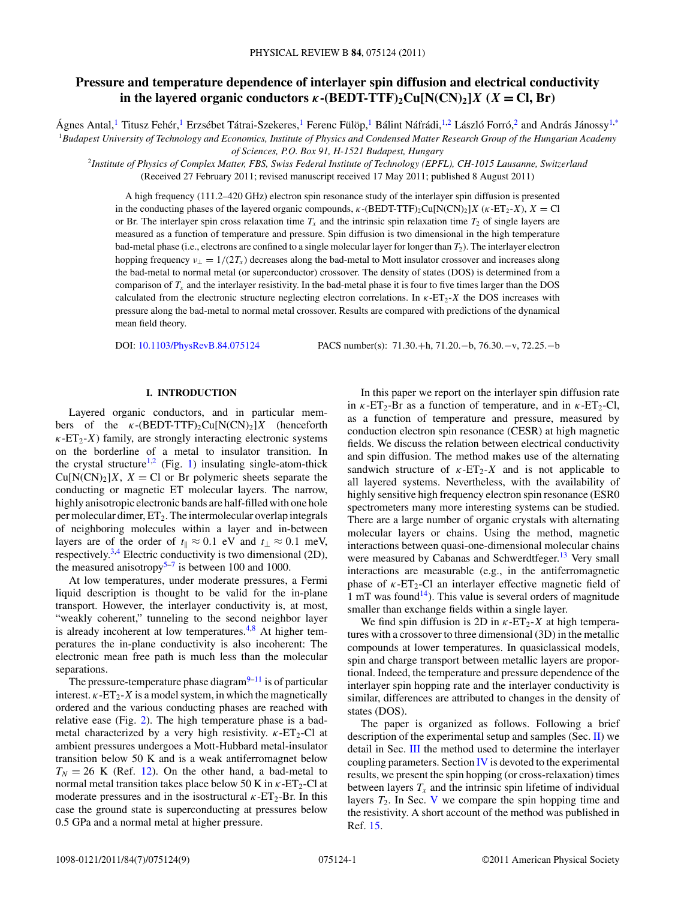# **Pressure and temperature dependence of interlayer spin diffusion and electrical conductivity in the layered organic conductors**  $\kappa$ **-(BEDT-TTF)**<sub>2</sub>Cu[N(CN)<sub>2</sub>]*X* (*X* = Cl, Br)

Ágnes Antal,<sup>1</sup> Titusz Fehér,<sup>1</sup> Erzsébet Tátrai-Szekeres,<sup>1</sup> Ferenc Fülöp,<sup>1</sup> Bálint Náfrádi,<sup>1,2</sup> László Forró,<sup>2</sup> and András Jánossy<sup>1[,\\*](#page-7-0)</sup> <sup>1</sup>*Budapest University of Technology and Economics, Institute of Physics and Condensed Matter Research Group of the Hungarian Academy of Sciences, P.O. Box 91, H-1521 Budapest, Hungary*

<sup>2</sup>*Institute of Physics of Complex Matter, FBS, Swiss Federal Institute of Technology (EPFL), CH-1015 Lausanne, Switzerland* (Received 27 February 2011; revised manuscript received 17 May 2011; published 8 August 2011)

A high frequency (111.2–420 GHz) electron spin resonance study of the interlayer spin diffusion is presented in the conducting phases of the layered organic compounds,  $\kappa$ -(BEDT-TTF)<sub>2</sub>Cu[N(CN)<sub>2</sub>]*X* ( $\kappa$ -ET<sub>2</sub>-*X*), *X* = Cl or Br. The interlayer spin cross relaxation time  $T<sub>x</sub>$  and the intrinsic spin relaxation time  $T<sub>2</sub>$  of single layers are measured as a function of temperature and pressure. Spin diffusion is two dimensional in the high temperature bad-metal phase (i.e., electrons are confined to a single molecular layer for longer than *T*2). The interlayer electron hopping frequency  $v_{\perp} = 1/(2T_x)$  decreases along the bad-metal to Mott insulator crossover and increases along the bad-metal to normal metal (or superconductor) crossover. The density of states (DOS) is determined from a comparison of  $T<sub>x</sub>$  and the interlayer resistivity. In the bad-metal phase it is four to five times larger than the DOS calculated from the electronic structure neglecting electron correlations. In *κ*-ET2-*X* the DOS increases with pressure along the bad-metal to normal metal crossover. Results are compared with predictions of the dynamical mean field theory.

DOI: [10.1103/PhysRevB.84.075124](http://dx.doi.org/10.1103/PhysRevB.84.075124) PACS number(s): 71*.*30*.*+h, 71*.*20*.*−b, 76*.*30*.*−v, 72*.*25*.*−b

# **I. INTRODUCTION**

Layered organic conductors, and in particular members of the  $\kappa$ -(BEDT-TTF)<sub>2</sub>Cu[N(CN)<sub>2</sub>]*X* (henceforth  $\kappa$ -ET<sub>2</sub>-*X*) family, are strongly interacting electronic systems on the borderline of a metal to insulator transition. In the crystal structure<sup>1,2</sup> (Fig. [1\)](#page-1-0) insulating single-atom-thick  $Cu[N(CN)_2]X$ ,  $X = Cl$  or Br polymeric sheets separate the conducting or magnetic ET molecular layers. The narrow, highly anisotropic electronic bands are half-filled with one hole per molecular dimer,  $ET_2$ . The intermolecular overlap integrals of neighboring molecules within a layer and in-between layers are of the order of  $t_{\parallel} \approx 0.1$  eV and  $t_{\perp} \approx 0.1$  meV, respectively.<sup>[3,4](#page-7-0)</sup> Electric conductivity is two dimensional  $(2D)$ , the measured anisotropy<sup>5–7</sup> is between 100 and 1000.

At low temperatures, under moderate pressures, a Fermi liquid description is thought to be valid for the in-plane transport. However, the interlayer conductivity is, at most, "weakly coherent," tunneling to the second neighbor layer is already incoherent at low temperatures.<sup>[4,](#page-7-0)[8](#page-8-0)</sup> At higher temperatures the in-plane conductivity is also incoherent: The electronic mean free path is much less than the molecular separations.

The pressure-temperature phase diagram $9-11$  is of particular interest.  $\kappa$ -ET<sub>2</sub>-*X* is a model system, in which the magnetically ordered and the various conducting phases are reached with relative ease (Fig. [2\)](#page-1-0). The high temperature phase is a badmetal characterized by a very high resistivity.  $\kappa$ -ET<sub>2</sub>-Cl at ambient pressures undergoes a Mott-Hubbard metal-insulator transition below 50 K and is a weak antiferromagnet below  $T_N = 26$  K (Ref. [12\)](#page-8-0). On the other hand, a bad-metal to normal metal transition takes place below 50 K in  $\kappa$ -ET<sub>2</sub>-Cl at moderate pressures and in the isostructural  $\kappa$ -ET<sub>2</sub>-Br. In this case the ground state is superconducting at pressures below 0.5 GPa and a normal metal at higher pressure.

In this paper we report on the interlayer spin diffusion rate in  $\kappa$ -ET<sub>2</sub>-Br as a function of temperature, and in  $\kappa$ -ET<sub>2</sub>-Cl, as a function of temperature and pressure, measured by conduction electron spin resonance (CESR) at high magnetic fields. We discuss the relation between electrical conductivity and spin diffusion. The method makes use of the alternating sandwich structure of  $\kappa$ -ET<sub>2</sub>-X and is not applicable to all layered systems. Nevertheless, with the availability of highly sensitive high frequency electron spin resonance (ESR0 spectrometers many more interesting systems can be studied. There are a large number of organic crystals with alternating molecular layers or chains. Using the method, magnetic interactions between quasi-one-dimensional molecular chains were measured by Cabanas and Schwerdtfeger.<sup>13</sup> Very small interactions are measurable (e.g., in the antiferromagnetic phase of  $\kappa$ -ET<sub>2</sub>-Cl an interlayer effective magnetic field of 1 mT was found<sup>14</sup>). This value is several orders of magnitude smaller than exchange fields within a single layer.

We find spin diffusion is 2D in  $\kappa$ -ET<sub>2</sub>-X at high temperatures with a crossover to three dimensional (3D) in the metallic compounds at lower temperatures. In quasiclassical models, spin and charge transport between metallic layers are proportional. Indeed, the temperature and pressure dependence of the interlayer spin hopping rate and the interlayer conductivity is similar, differences are attributed to changes in the density of states (DOS).

The paper is organized as follows. Following a brief description of the experimental setup and samples (Sec. [II\)](#page-1-0) we detail in Sec. [III](#page-1-0) the method used to determine the interlayer coupling parameters. Section  $\overline{IV}$  $\overline{IV}$  $\overline{IV}$  is devoted to the experimental results, we present the spin hopping (or cross-relaxation) times between layers  $T_x$  and the intrinsic spin lifetime of individual layers  $T_2$ . In Sec. [V](#page-4-0) we compare the spin hopping time and the resistivity. A short account of the method was published in Ref. [15.](#page-8-0)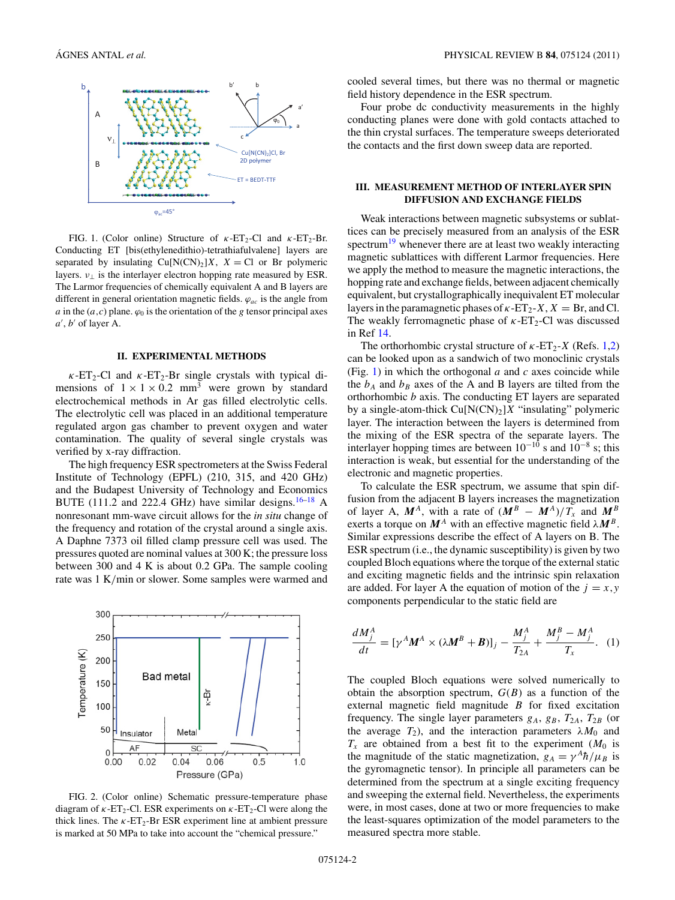<span id="page-1-0"></span>

FIG. 1. (Color online) Structure of *κ*-ET<sub>2</sub>-Cl and *κ*-ET<sub>2</sub>-Br. Conducting ET [bis(ethylenedithio)-tetrathiafulvalene] layers are separated by insulating  $Cu[N(CN)_2]X$ ,  $X = Cl$  or Br polymeric layers.  $v_{\perp}$  is the interlayer electron hopping rate measured by ESR. The Larmor frequencies of chemically equivalent A and B layers are different in general orientation magnetic fields. *ϕac* is the angle from *a* in the  $(a, c)$  plane.  $\varphi_0$  is the orientation of the *g* tensor principal axes *a* , *b* of layer A.

#### **II. EXPERIMENTAL METHODS**

 $\kappa$ -ET<sub>2</sub>-Cl and  $\kappa$ -ET<sub>2</sub>-Br single crystals with typical dimensions of  $1 \times 1 \times 0.2$  mm<sup>3</sup> were grown by standard electrochemical methods in Ar gas filled electrolytic cells. The electrolytic cell was placed in an additional temperature regulated argon gas chamber to prevent oxygen and water contamination. The quality of several single crystals was verified by x-ray diffraction.

The high frequency ESR spectrometers at the Swiss Federal Institute of Technology (EPFL) (210, 315, and 420 GHz) and the Budapest University of Technology and Economics BUTE (111.2 and 222.4 GHz) have similar designs.<sup>[16–18](#page-8-0)</sup> A nonresonant mm-wave circuit allows for the *in situ* change of the frequency and rotation of the crystal around a single axis. A Daphne 7373 oil filled clamp pressure cell was used. The pressures quoted are nominal values at 300 K; the pressure loss between 300 and 4 K is about 0.2 GPa. The sample cooling rate was 1 K*/*min or slower. Some samples were warmed and



FIG. 2. (Color online) Schematic pressure-temperature phase diagram of  $\kappa$ -ET<sub>2</sub>-Cl. ESR experiments on  $\kappa$ -ET<sub>2</sub>-Cl were along the thick lines. The  $\kappa$ -ET<sub>2</sub>-Br ESR experiment line at ambient pressure is marked at 50 MPa to take into account the "chemical pressure."

cooled several times, but there was no thermal or magnetic field history dependence in the ESR spectrum.

Four probe dc conductivity measurements in the highly conducting planes were done with gold contacts attached to the thin crystal surfaces. The temperature sweeps deteriorated the contacts and the first down sweep data are reported.

# **III. MEASUREMENT METHOD OF INTERLAYER SPIN DIFFUSION AND EXCHANGE FIELDS**

Weak interactions between magnetic subsystems or sublattices can be precisely measured from an analysis of the ESR spectrum $19$  whenever there are at least two weakly interacting magnetic sublattices with different Larmor frequencies. Here we apply the method to measure the magnetic interactions, the hopping rate and exchange fields, between adjacent chemically equivalent, but crystallographically inequivalent ET molecular layers in the paramagnetic phases of  $\kappa$ -ET<sub>2</sub>-*X*,  $X = \text{Br}$ , and Cl. The weakly ferromagnetic phase of  $\kappa$ -ET<sub>2</sub>-Cl was discussed in Ref [14.](#page-8-0)

The orthorhombic crystal structure of  $\kappa$ -ET<sub>2</sub>-*X* (Refs. [1,2\)](#page-7-0) can be looked upon as a sandwich of two monoclinic crystals (Fig. 1) in which the orthogonal *a* and *c* axes coincide while the  $b_A$  and  $b_B$  axes of the A and B layers are tilted from the orthorhombic *b* axis. The conducting ET layers are separated by a single-atom-thick  $Cu[N(CN)_2]X$  "insulating" polymeric layer. The interaction between the layers is determined from the mixing of the ESR spectra of the separate layers. The interlayer hopping times are between  $10^{-10}$  s and  $10^{-8}$  s; this interaction is weak, but essential for the understanding of the electronic and magnetic properties.

To calculate the ESR spectrum, we assume that spin diffusion from the adjacent B layers increases the magnetization of layer A,  $M^A$ , with a rate of  $(M^B - M^A)/T_x$  and  $M^B$ exerts a torque on  $M^A$  with an effective magnetic field  $\lambda M^B$ . Similar expressions describe the effect of A layers on B. The ESR spectrum (i.e., the dynamic susceptibility) is given by two coupled Bloch equations where the torque of the external static and exciting magnetic fields and the intrinsic spin relaxation are added. For layer A the equation of motion of the  $j = x, y$ components perpendicular to the static field are

$$
\frac{dM_j^A}{dt} = \left[\gamma^A \mathbf{M}^A \times (\lambda \mathbf{M}^B + \mathbf{B})\right]_j - \frac{M_j^A}{T_{2A}} + \frac{M_j^B - M_j^A}{T_x}.\tag{1}
$$

The coupled Bloch equations were solved numerically to obtain the absorption spectrum,  $G(B)$  as a function of the external magnetic field magnitude *B* for fixed excitation frequency. The single layer parameters  $g_A$ ,  $g_B$ ,  $T_{2A}$ ,  $T_{2B}$  (or the average  $T_2$ ), and the interaction parameters  $\lambda M_0$  and  $T_x$  are obtained from a best fit to the experiment  $(M_0)$  is the magnitude of the static magnetization,  $g_A = \gamma^A \hbar / \mu_B$  is the gyromagnetic tensor). In principle all parameters can be determined from the spectrum at a single exciting frequency and sweeping the external field. Nevertheless, the experiments were, in most cases, done at two or more frequencies to make the least-squares optimization of the model parameters to the measured spectra more stable.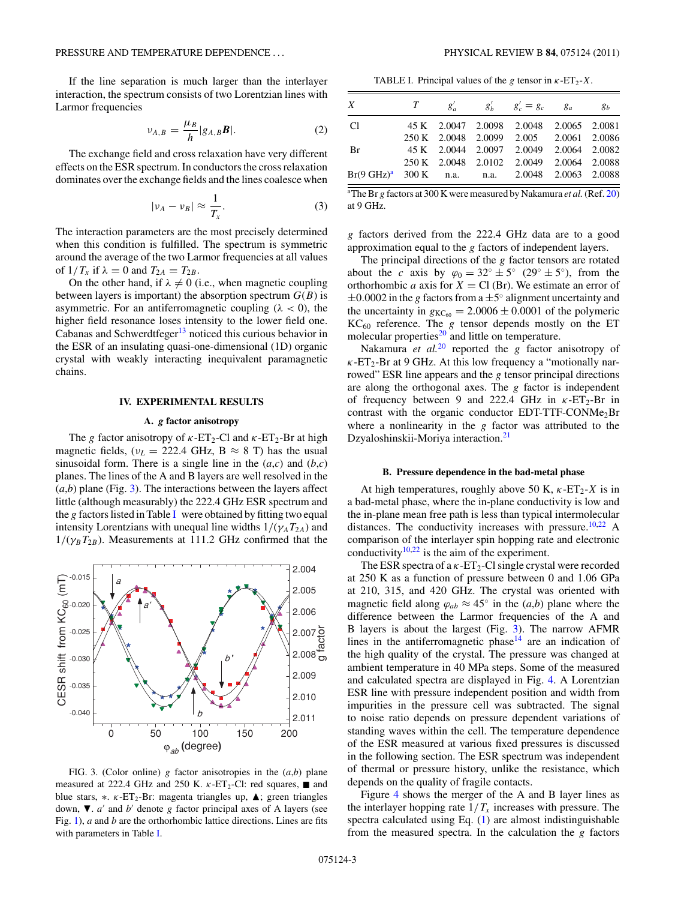<span id="page-2-0"></span>If the line separation is much larger than the interlayer interaction, the spectrum consists of two Lorentzian lines with Larmor frequencies

$$
\nu_{A,B} = \frac{\mu_B}{h} |g_{A,B}\boldsymbol{B}|. \tag{2}
$$

The exchange field and cross relaxation have very different effects on the ESR spectrum. In conductors the cross relaxation dominates over the exchange fields and the lines coalesce when

$$
|\nu_A - \nu_B| \approx \frac{1}{T_x}.\tag{3}
$$

The interaction parameters are the most precisely determined when this condition is fulfilled. The spectrum is symmetric around the average of the two Larmor frequencies at all values of  $1/T_x$  if  $\lambda = 0$  and  $T_{2A} = T_{2B}$ .

On the other hand, if  $\lambda \neq 0$  (i.e., when magnetic coupling between layers is important) the absorption spectrum  $G(B)$  is asymmetric. For an antiferromagnetic coupling  $(\lambda < 0)$ , the higher field resonance loses intensity to the lower field one. Cabanas and Schwerdtfeger<sup>[13](#page-8-0)</sup> noticed this curious behavior in the ESR of an insulating quasi-one-dimensional (1D) organic crystal with weakly interacting inequivalent paramagnetic chains.

# **IV. EXPERIMENTAL RESULTS**

#### **A.** *g* **factor anisotropy**

The *g* factor anisotropy of  $\kappa$ -ET<sub>2</sub>-Cl and  $\kappa$ -ET<sub>2</sub>-Br at high magnetic fields,  $(v_L = 222.4 \text{ GHz}, \text{B} \approx 8 \text{ T})$  has the usual sinusoidal form. There is a single line in the  $(a,c)$  and  $(b,c)$ planes. The lines of the A and B layers are well resolved in the  $(a,b)$  plane (Fig. 3). The interactions between the layers affect little (although measurably) the 222.4 GHz ESR spectrum and the *g* factors listed in Table I were obtained by fitting two equal intensity Lorentzians with unequal line widths  $1/(\gamma_A T_{2A})$  and  $1/(\gamma_B T_{2B})$ . Measurements at 111.2 GHz confirmed that the



FIG. 3. (Color online) *g* factor anisotropies in the (*a*,*b*) plane measured at 222.4 GHz and 250 K.  $\kappa$ -ET<sub>2</sub>-Cl: red squares, and blue stars, \*. *κ*-ET<sub>2</sub>-Br: magenta triangles up, **Δ**; green triangles down,  $\nabla$ . *a'* and *b'* denote *g* factor principal axes of A layers (see Fig. [1\)](#page-1-0), *a* and *b* are the orthorhombic lattice directions. Lines are fits with parameters in Table I.

TABLE I. Principal values of the *g* tensor in  $\kappa$ -ET<sub>2</sub>-X.

| X                                                          |  | $T \qquad g'_a \qquad g'_b \qquad g'_c = g_c \qquad g_a \qquad g_b$ |  |
|------------------------------------------------------------|--|---------------------------------------------------------------------|--|
| C <sub>1</sub>                                             |  | 45 K 2.0047 2.0098 2.0048 2.0065 2.0081                             |  |
|                                                            |  | 250 K 2.0048 2.0099 2.005 2.0061 2.0086                             |  |
| <b>Br</b>                                                  |  | 45 K 2.0044 2.0097 2.0049 2.0064 2.0082                             |  |
|                                                            |  | 250 K 2.0048 2.0102 2.0049 2.0064 2.0088                            |  |
| $Br(9 \text{ GHz})^a$ 300 K n.a. n.a. 2.0048 2.0063 2.0088 |  |                                                                     |  |

a The Br *g* factors at 300 K were measured by Nakamura *et al.*(Ref. [20\)](#page-8-0) at 9 GHz.

*g* factors derived from the 222.4 GHz data are to a good approximation equal to the *g* factors of independent layers.

The principal directions of the *g* factor tensors are rotated about the *c* axis by  $\varphi_0 = 32^\circ \pm 5^\circ$  (29°  $\pm 5^\circ$ ), from the orthorhombic *a* axis for  $X = Cl(Br)$ . We estimate an error of ±0*.*0002 in the *g* factors from a ±5◦ alignment uncertainty and the uncertainty in  $g_{\text{KC}_{60}} = 2.0006 \pm 0.0001$  of the polymeric  $KC_{60}$  reference. The *g* tensor depends mostly on the ET molecular properties<sup>[20](#page-8-0)</sup> and little on temperature.

Nakamura *et al.*[20](#page-8-0) reported the *g* factor anisotropy of *κ*-ET2-Br at 9 GHz. At this low frequency a "motionally narrowed" ESR line appears and the *g* tensor principal directions are along the orthogonal axes. The *g* factor is independent of frequency between 9 and 222.4 GHz in  $\kappa$ -ET<sub>2</sub>-Br in contrast with the organic conductor EDT-TTF-CONMe<sub>2</sub>Br where a nonlinearity in the *g* factor was attributed to the Dzyaloshinskii-Moriya interaction.<sup>[21](#page-8-0)</sup>

#### **B. Pressure dependence in the bad-metal phase**

At high temperatures, roughly above 50 K,  $\kappa$ -ET<sub>2</sub>-*X* is in a bad-metal phase, where the in-plane conductivity is low and the in-plane mean free path is less than typical intermolecular distances. The conductivity increases with pressure.<sup>10,22</sup> A comparison of the interlayer spin hopping rate and electronic conductivity<sup>10,22</sup> is the aim of the experiment.

The ESR spectra of a  $\kappa$ -ET<sub>2</sub>-Cl single crystal were recorded at 250 K as a function of pressure between 0 and 1.06 GPa at 210, 315, and 420 GHz. The crystal was oriented with magnetic field along  $\varphi_{ab} \approx 45^\circ$  in the  $(a,b)$  plane where the difference between the Larmor frequencies of the A and B layers is about the largest (Fig. 3). The narrow AFMR lines in the antiferromagnetic phase $14$  are an indication of the high quality of the crystal. The pressure was changed at ambient temperature in 40 MPa steps. Some of the measured and calculated spectra are displayed in Fig. [4.](#page-3-0) A Lorentzian ESR line with pressure independent position and width from impurities in the pressure cell was subtracted. The signal to noise ratio depends on pressure dependent variations of standing waves within the cell. The temperature dependence of the ESR measured at various fixed pressures is discussed in the following section. The ESR spectrum was independent of thermal or pressure history, unlike the resistance, which depends on the quality of fragile contacts.

Figure [4](#page-3-0) shows the merger of the A and B layer lines as the interlayer hopping rate  $1/T_x$  increases with pressure. The spectra calculated using Eq. [\(1\)](#page-1-0) are almost indistinguishable from the measured spectra. In the calculation the *g* factors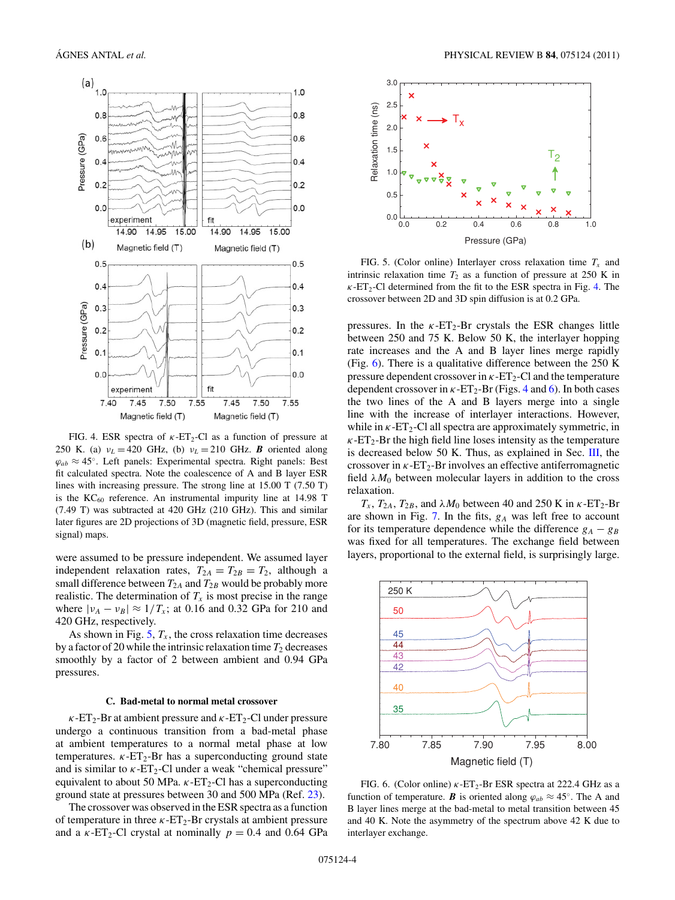<span id="page-3-0"></span>

FIG. 4. ESR spectra of  $\kappa$ -ET<sub>2</sub>-Cl as a function of pressure at 250 K. (a)  $v_L = 420$  GHz, (b)  $v_L = 210$  GHz. **B** oriented along  $\varphi_{ab} \approx 45^\circ$ . Left panels: Experimental spectra. Right panels: Best fit calculated spectra. Note the coalescence of A and B layer ESR lines with increasing pressure. The strong line at 15.00 T (7.50 T) is the  $KC_{60}$  reference. An instrumental impurity line at 14.98 T (7.49 T) was subtracted at 420 GHz (210 GHz). This and similar later figures are 2D projections of 3D (magnetic field, pressure, ESR signal) maps.

were assumed to be pressure independent. We assumed layer independent relaxation rates,  $T_{2A} = T_{2B} = T_2$ , although a small difference between  $T_{2A}$  and  $T_{2B}$  would be probably more realistic. The determination of  $T_x$  is most precise in the range where  $|v_A - v_B| \approx 1/T_x$ ; at 0.16 and 0.32 GPa for 210 and 420 GHz, respectively.

As shown in Fig.  $5, T_x$ , the cross relaxation time decreases by a factor of 20 while the intrinsic relaxation time  $T_2$  decreases smoothly by a factor of 2 between ambient and 0.94 GPa pressures.

### **C. Bad-metal to normal metal crossover**

 $\kappa$ -ET<sub>2</sub>-Br at ambient pressure and  $\kappa$ -ET<sub>2</sub>-Cl under pressure undergo a continuous transition from a bad-metal phase at ambient temperatures to a normal metal phase at low temperatures.  $\kappa$ -ET<sub>2</sub>-Br has a superconducting ground state and is similar to  $\kappa$ -ET<sub>2</sub>-Cl under a weak "chemical pressure" equivalent to about 50 MPa.  $\kappa$ -ET<sub>2</sub>-Cl has a superconducting ground state at pressures between 30 and 500 MPa (Ref. [23\)](#page-8-0).

The crossover was observed in the ESR spectra as a function of temperature in three  $\kappa$ -ET<sub>2</sub>-Br crystals at ambient pressure and a  $\kappa$ -ET<sub>2</sub>-Cl crystal at nominally  $p = 0.4$  and 0.64 GPa



FIG. 5. (Color online) Interlayer cross relaxation time *Tx* and intrinsic relaxation time  $T_2$  as a function of pressure at 250 K in  $\kappa$ -ET<sub>2</sub>-Cl determined from the fit to the ESR spectra in Fig. 4. The crossover between 2D and 3D spin diffusion is at 0.2 GPa.

pressures. In the  $\kappa$ -ET<sub>2</sub>-Br crystals the ESR changes little between 250 and 75 K. Below 50 K, the interlayer hopping rate increases and the A and B layer lines merge rapidly (Fig. 6). There is a qualitative difference between the 250 K pressure dependent crossover in  $\kappa$ -ET<sub>2</sub>-Cl and the temperature dependent crossover in  $\kappa$ -ET<sub>2</sub>-Br (Figs. 4 and 6). In both cases the two lines of the A and B layers merge into a single line with the increase of interlayer interactions. However, while in  $\kappa$ -ET<sub>2</sub>-Cl all spectra are approximately symmetric, in  $\kappa$ -ET<sub>2</sub>-Br the high field line loses intensity as the temperature is decreased below 50 K. Thus, as explained in Sec. [III,](#page-1-0) the crossover in  $\kappa$ -ET<sub>2</sub>-Br involves an effective antiferromagnetic field  $\lambda M_0$  between molecular layers in addition to the cross relaxation.

 $T_x$ ,  $T_{2A}$ ,  $T_{2B}$ , and  $\lambda M_0$  between 40 and 250 K in  $\kappa$ -ET<sub>2</sub>-Br are shown in Fig. [7.](#page-4-0) In the fits, *gA* was left free to account for its temperature dependence while the difference  $g_A - g_B$ was fixed for all temperatures. The exchange field between layers, proportional to the external field, is surprisingly large.



FIG. 6. (Color online) *κ*-ET<sub>2</sub>-Br ESR spectra at 222.4 GHz as a function of temperature. *B* is oriented along  $\varphi_{ab} \approx 45^\circ$ . The A and B layer lines merge at the bad-metal to metal transition between 45 and 40 K. Note the asymmetry of the spectrum above 42 K due to interlayer exchange.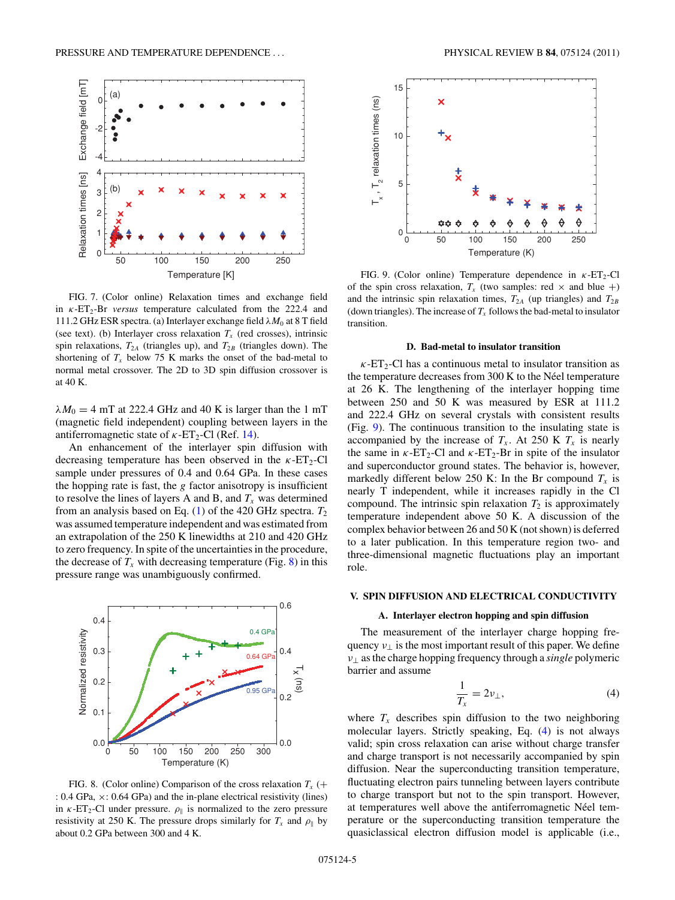<span id="page-4-0"></span>

FIG. 7. (Color online) Relaxation times and exchange field in *κ*-ET<sub>2</sub>-Br *versus* temperature calculated from the 222.4 and 111.2 GHz ESR spectra. (a) Interlayer exchange field *λM*<sup>0</sup> at 8 T field (see text). (b) Interlayer cross relaxation  $T_x$  (red crosses), intrinsic spin relaxations,  $T_{2A}$  (triangles up), and  $T_{2B}$  (triangles down). The shortening of  $T_x$  below 75 K marks the onset of the bad-metal to normal metal crossover. The 2D to 3D spin diffusion crossover is at 40 K.

 $\lambda M_0 = 4$  mT at 222.4 GHz and 40 K is larger than the 1 mT (magnetic field independent) coupling between layers in the antiferromagnetic state of  $\kappa$ -ET<sub>2</sub>-Cl (Ref. [14\)](#page-8-0).

An enhancement of the interlayer spin diffusion with decreasing temperature has been observed in the  $\kappa$ -ET<sub>2</sub>-Cl sample under pressures of 0.4 and 0.64 GPa. In these cases the hopping rate is fast, the *g* factor anisotropy is insufficient to resolve the lines of layers A and B, and  $T_x$  was determined from an analysis based on Eq. [\(1\)](#page-1-0) of the 420 GHz spectra. *T*<sup>2</sup> was assumed temperature independent and was estimated from an extrapolation of the 250 K linewidths at 210 and 420 GHz to zero frequency. In spite of the uncertainties in the procedure, the decrease of  $T_x$  with decreasing temperature (Fig. 8) in this pressure range was unambiguously confirmed.



FIG. 8. (Color online) Comparison of the cross relaxation  $T_x$  (+ : 0.4 GPa, ×: 0.64 GPa) and the in-plane electrical resistivity (lines) in  $\kappa$ -ET<sub>2</sub>-Cl under pressure.  $\rho_{\parallel}$  is normalized to the zero pressure resistivity at 250 K. The pressure drops similarly for  $T_x$  and  $\rho_{\parallel}$  by about 0.2 GPa between 300 and 4 K.



FIG. 9. (Color online) Temperature dependence in *κ*-ET<sub>2</sub>-Cl of the spin cross relaxation,  $T_x$  (two samples: red  $\times$  and blue +) and the intrinsic spin relaxation times,  $T_{2A}$  (up triangles) and  $T_{2B}$ (down triangles). The increase of  $T_x$  follows the bad-metal to insulator transition.

#### **D. Bad-metal to insulator transition**

 $\kappa$ -ET<sub>2</sub>-Cl has a continuous metal to insulator transition as the temperature decreases from  $300 \text{ K}$  to the Néel temperature at 26 K. The lengthening of the interlayer hopping time between 250 and 50 K was measured by ESR at 111.2 and 222.4 GHz on several crystals with consistent results (Fig. 9). The continuous transition to the insulating state is accompanied by the increase of  $T_x$ . At 250 K  $T_x$  is nearly the same in  $\kappa$ -ET<sub>2</sub>-Cl and  $\kappa$ -ET<sub>2</sub>-Br in spite of the insulator and superconductor ground states. The behavior is, however, markedly different below 250 K: In the Br compound  $T_x$  is nearly T independent, while it increases rapidly in the Cl compound. The intrinsic spin relaxation  $T_2$  is approximately temperature independent above 50 K. A discussion of the complex behavior between 26 and 50 K (not shown) is deferred to a later publication. In this temperature region two- and three-dimensional magnetic fluctuations play an important role.

#### **V. SPIN DIFFUSION AND ELECTRICAL CONDUCTIVITY**

### **A. Interlayer electron hopping and spin diffusion**

The measurement of the interlayer charge hopping frequency  $v_{\perp}$  is the most important result of this paper. We define *ν*<sup>⊥</sup> as the charge hopping frequency through a *single* polymeric barrier and assume

$$
\frac{1}{T_x} = 2\nu_\perp,\tag{4}
$$

where  $T_x$  describes spin diffusion to the two neighboring molecular layers. Strictly speaking, Eq. (4) is not always valid; spin cross relaxation can arise without charge transfer and charge transport is not necessarily accompanied by spin diffusion. Near the superconducting transition temperature, fluctuating electron pairs tunneling between layers contribute to charge transport but not to the spin transport. However, at temperatures well above the antiferromagnetic Néel temperature or the superconducting transition temperature the quasiclassical electron diffusion model is applicable (i.e.,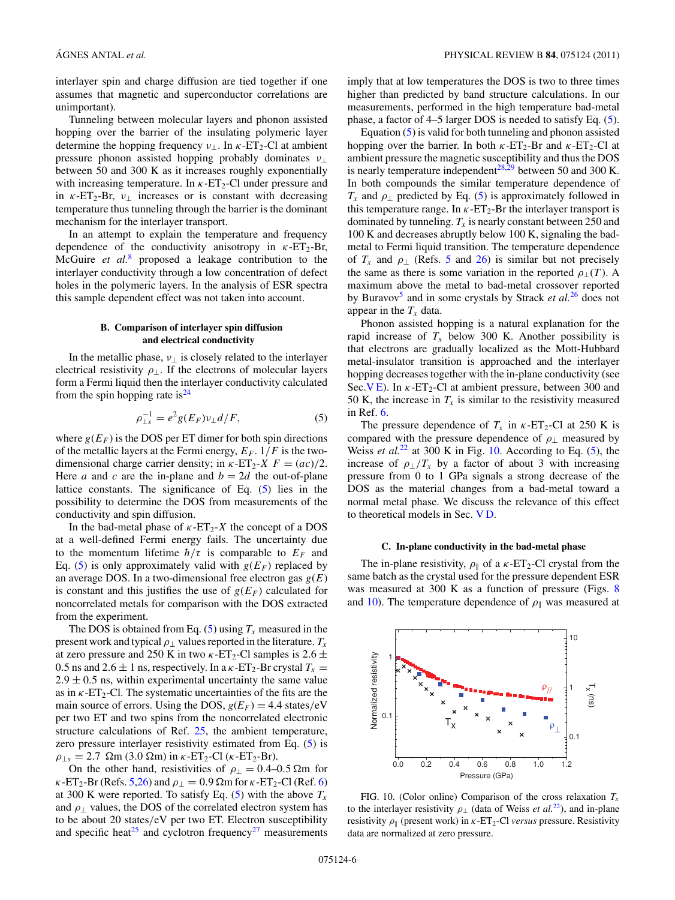<span id="page-5-0"></span>interlayer spin and charge diffusion are tied together if one assumes that magnetic and superconductor correlations are unimportant).

Tunneling between molecular layers and phonon assisted hopping over the barrier of the insulating polymeric layer determine the hopping frequency  $v_{\perp}$ . In  $\kappa$ -ET<sub>2</sub>-Cl at ambient pressure phonon assisted hopping probably dominates *ν*<sup>⊥</sup> between 50 and 300 K as it increases roughly exponentially with increasing temperature. In  $\kappa$ -ET<sub>2</sub>-Cl under pressure and in  $\kappa$ -ET<sub>2</sub>-Br,  $v_{\perp}$  increases or is constant with decreasing temperature thus tunneling through the barrier is the dominant mechanism for the interlayer transport.

In an attempt to explain the temperature and frequency dependence of the conductivity anisotropy in  $\kappa$ -ET<sub>2</sub>-Br, McGuire *et al.*[8](#page-8-0) proposed a leakage contribution to the interlayer conductivity through a low concentration of defect holes in the polymeric layers. In the analysis of ESR spectra this sample dependent effect was not taken into account.

# **B. Comparison of interlayer spin diffusion and electrical conductivity**

In the metallic phase,  $v_{\perp}$  is closely related to the interlayer electrical resistivity  $\rho_{\perp}$ . If the electrons of molecular layers form a Fermi liquid then the interlayer conductivity calculated from the spin hopping rate is  $24$ 

$$
\rho_{\perp s}^{-1} = e^2 g(E_F) v_\perp d/F,\tag{5}
$$

where  $g(E_F)$  is the DOS per ET dimer for both spin directions of the metallic layers at the Fermi energy,  $E_F$ .  $1/F$  is the twodimensional charge carrier density; in  $\kappa$ -ET<sub>2</sub>-*X*  $F = (ac)/2$ . Here *a* and *c* are the in-plane and  $b = 2d$  the out-of-plane lattice constants. The significance of Eq. (5) lies in the possibility to determine the DOS from measurements of the conductivity and spin diffusion.

In the bad-metal phase of  $\kappa$ -ET<sub>2</sub>-*X* the concept of a DOS at a well-defined Fermi energy fails. The uncertainty due to the momentum lifetime  $\hbar/\tau$  is comparable to  $E_F$  and Eq. (5) is only approximately valid with  $g(E_F)$  replaced by an average DOS. In a two-dimensional free electron gas *g*(*E*) is constant and this justifies the use of  $g(E_F)$  calculated for noncorrelated metals for comparison with the DOS extracted from the experiment.

The DOS is obtained from Eq.  $(5)$  using  $T_x$  measured in the present work and typical  $\rho_1$  values reported in the literature.  $T_x$ at zero pressure and 250 K in two  $\kappa$ -ET<sub>2</sub>-Cl samples is 2.6  $\pm$ 0.5 ns and 2.6  $\pm$  1 ns, respectively. In a  $\kappa$ -ET<sub>2</sub>-Br crystal  $T_x$  =  $2.9 \pm 0.5$  ns, within experimental uncertainty the same value as in  $\kappa$ -ET<sub>2</sub>-Cl. The systematic uncertainties of the fits are the main source of errors. Using the DOS,  $g(E_F) = 4.4$  states/eV per two ET and two spins from the noncorrelated electronic structure calculations of Ref. [25,](#page-8-0) the ambient temperature, zero pressure interlayer resistivity estimated from Eq. (5) is *ρ*<sub>⊥*s*</sub> = 2.7  $\Omega$ m (3.0  $\Omega$ m) in *κ*-ET<sub>2</sub>-Cl (*κ*-ET<sub>2</sub>-Br).

On the other hand, resistivities of  $\rho_{\perp} = 0.4{\text -}0.5 \Omega$ m for *κ*-ET<sub>2</sub>-Br (Refs. [5,26\)](#page-8-0) and  $\rho_{\perp} = 0.9$  Ωm for *κ*-ET<sub>2</sub>-Cl (Ref. [6\)](#page-8-0) at 300 K were reported. To satisfy Eq.  $(5)$  with the above  $T_x$ and  $\rho_{\perp}$  values, the DOS of the correlated electron system has to be about 20 states*/*eV per two ET. Electron susceptibility and specific heat<sup>[25](#page-8-0)</sup> and cyclotron frequency<sup>27</sup> measurements

imply that at low temperatures the DOS is two to three times higher than predicted by band structure calculations. In our measurements, performed in the high temperature bad-metal phase, a factor of 4–5 larger DOS is needed to satisfy Eq. (5).

Equation  $(5)$  is valid for both tunneling and phonon assisted hopping over the barrier. In both  $\kappa$ -ET<sub>2</sub>-Br and  $\kappa$ -ET<sub>2</sub>-Cl at ambient pressure the magnetic susceptibility and thus the DOS is nearly temperature independent<sup>28,29</sup> between 50 and 300 K. In both compounds the similar temperature dependence of  $T_x$  and  $\rho_{\perp}$  predicted by Eq. (5) is approximately followed in this temperature range. In  $\kappa$ -ET<sub>2</sub>-Br the interlayer transport is dominated by tunneling.  $T_x$  is nearly constant between 250 and 100 K and decreases abruptly below 100 K, signaling the badmetal to Fermi liquid transition. The temperature dependence of  $T_x$  and  $\rho_{\perp}$  (Refs. [5](#page-8-0) and [26\)](#page-8-0) is similar but not precisely the same as there is some variation in the reported  $\rho_1(T)$ . A maximum above the metal to bad-metal crossover reported by Buravo[v5](#page-8-0) and in some crystals by Strack *et al.*[26](#page-8-0) does not appear in the  $T_x$  data.

Phonon assisted hopping is a natural explanation for the rapid increase of  $T_x$  below 300 K. Another possibility is that electrons are gradually localized as the Mott-Hubbard metal-insulator transition is approached and the interlayer hopping decreases together with the in-plane conductivity (see Sec.V<sub>E</sub>). In  $\kappa$ -ET<sub>2</sub>-Cl at ambient pressure, between 300 and 50 K, the increase in  $T_x$  is similar to the resistivity measured in Ref. [6.](#page-8-0)

The pressure dependence of  $T_x$  in  $\kappa$ -ET<sub>2</sub>-Cl at 250 K is compared with the pressure dependence of  $\rho_{\perp}$  measured by Weiss *et al.*<sup>[22](#page-8-0)</sup> at 300 K in Fig. 10. According to Eq.  $(5)$ , the increase of  $\rho_{\perp}/T_x$  by a factor of about 3 with increasing pressure from 0 to 1 GPa signals a strong decrease of the DOS as the material changes from a bad-metal toward a normal metal phase. We discuss the relevance of this effect to theoretical models in Sec. [V D.](#page-6-0)

### **C. In-plane conductivity in the bad-metal phase**

The in-plane resistivity,  $\rho_{\parallel}$  of a  $\kappa$ -ET<sub>2</sub>-Cl crystal from the same batch as the crystal used for the pressure dependent ESR was measured at 300 K as a function of pressure (Figs. [8](#page-4-0) and 10). The temperature dependence of  $\rho_{\parallel}$  was measured at



FIG. 10. (Color online) Comparison of the cross relaxation  $T_x$ to the interlayer resistivity  $\rho_{\perp}$  (data of Weiss *et al.*<sup>22</sup>), and in-plane resistivity  $\rho_{\parallel}$  (present work) in  $\kappa$ -ET<sub>2</sub>-Cl *versus* pressure. Resistivity data are normalized at zero pressure.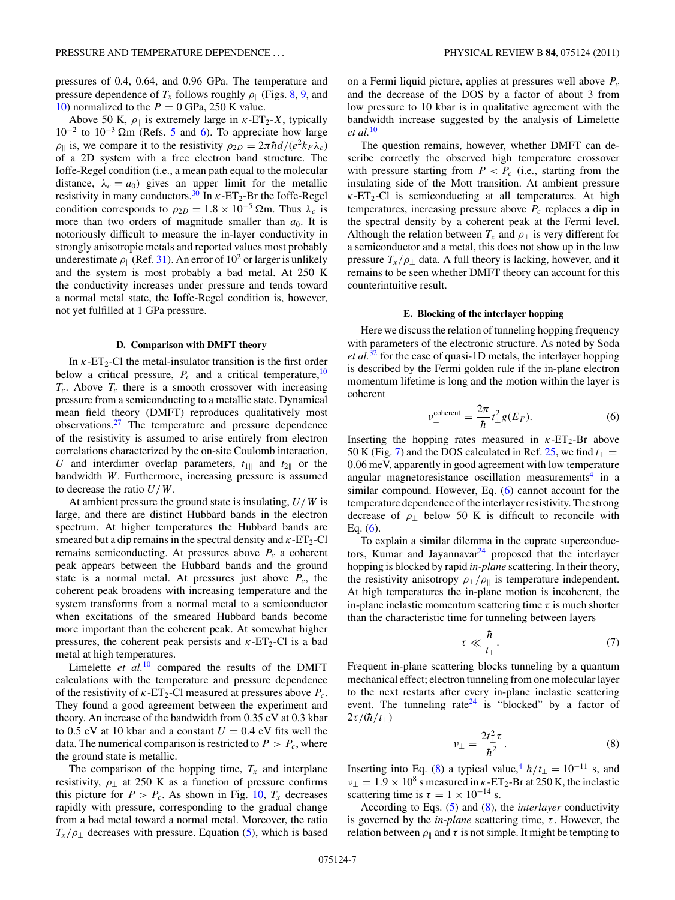<span id="page-6-0"></span>pressures of 0.4, 0.64, and 0.96 GPa. The temperature and pressure dependence of  $T_x$  follows roughly  $\rho_{\parallel}$  (Figs. [8,](#page-4-0) [9,](#page-4-0) and [10\)](#page-5-0) normalized to the  $P = 0$  GPa, 250 K value.

Above 50 K,  $\rho_{\parallel}$  is extremely large in  $\kappa$ -ET<sub>2</sub>-X, typically  $10^{-2}$  to  $10^{-3}$  Ωm (Refs. [5](#page-8-0) and [6\)](#page-8-0). To appreciate how large *ρ*<sub>||</sub> is, we compare it to the resistivity  $\rho_{2D} = 2\pi \hbar d/(e^2 k_F \lambda_c)$ of a 2D system with a free electron band structure. The Ioffe-Regel condition (i.e., a mean path equal to the molecular distance,  $\lambda_c = a_0$ ) gives an upper limit for the metallic resistivity in many conductors.<sup>30</sup> In  $\kappa$ -ET<sub>2</sub>-Br the Ioffe-Regel condition corresponds to  $\rho_{2D} = 1.8 \times 10^{-5}$   $\Omega$ m. Thus  $\lambda_c$  is more than two orders of magnitude smaller than  $a_0$ . It is notoriously difficult to measure the in-layer conductivity in strongly anisotropic metals and reported values most probably underestimate  $\rho_{\parallel}$  (Ref. [31\)](#page-8-0). An error of 10<sup>2</sup> or larger is unlikely and the system is most probably a bad metal. At 250 K the conductivity increases under pressure and tends toward a normal metal state, the Ioffe-Regel condition is, however, not yet fulfilled at 1 GPa pressure.

# **D. Comparison with DMFT theory**

In  $\kappa$ -ET<sub>2</sub>-Cl the metal-insulator transition is the first order below a critical pressure,  $P_c$  and a critical temperature,  $10$  $T_c$ . Above  $T_c$  there is a smooth crossover with increasing pressure from a semiconducting to a metallic state. Dynamical mean field theory (DMFT) reproduces qualitatively most observations. $27$  The temperature and pressure dependence of the resistivity is assumed to arise entirely from electron correlations characterized by the on-site Coulomb interaction, *U* and interdimer overlap parameters,  $t_{1\parallel}$  and  $t_{2\parallel}$  or the bandwidth *W*. Furthermore, increasing pressure is assumed to decrease the ratio *U/W*.

At ambient pressure the ground state is insulating, *U/W* is large, and there are distinct Hubbard bands in the electron spectrum. At higher temperatures the Hubbard bands are smeared but a dip remains in the spectral density and  $\kappa$ -ET<sub>2</sub>-Cl remains semiconducting. At pressures above  $P_c$  a coherent peak appears between the Hubbard bands and the ground state is a normal metal. At pressures just above  $P_c$ , the coherent peak broadens with increasing temperature and the system transforms from a normal metal to a semiconductor when excitations of the smeared Hubbard bands become more important than the coherent peak. At somewhat higher pressures, the coherent peak persists and  $\kappa$ -ET<sub>2</sub>-Cl is a bad metal at high temperatures.

Limelette *et al.*<sup>[10](#page-8-0)</sup> compared the results of the DMFT calculations with the temperature and pressure dependence of the resistivity of  $\kappa$ -ET<sub>2</sub>-Cl measured at pressures above  $P_c$ . They found a good agreement between the experiment and theory. An increase of the bandwidth from 0.35 eV at 0.3 kbar to 0.5 eV at 10 kbar and a constant  $U = 0.4$  eV fits well the data. The numerical comparison is restricted to  $P > P_c$ , where the ground state is metallic.

The comparison of the hopping time,  $T_x$  and interplane resistivity,  $\rho_{\perp}$  at 250 K as a function of pressure confirms this picture for  $P > P_c$ . As shown in Fig. [10,](#page-5-0)  $T_x$  decreases rapidly with pressure, corresponding to the gradual change from a bad metal toward a normal metal. Moreover, the ratio  $T_x/\rho_{\perp}$  decreases with pressure. Equation [\(5\)](#page-5-0), which is based on a Fermi liquid picture, applies at pressures well above *Pc* and the decrease of the DOS by a factor of about 3 from low pressure to 10 kbar is in qualitative agreement with the bandwidth increase suggested by the analysis of Limelette *et al.*[10](#page-8-0)

The question remains, however, whether DMFT can describe correctly the observed high temperature crossover with pressure starting from  $P < P_c$  (i.e., starting from the insulating side of the Mott transition. At ambient pressure  $\kappa$ -ET<sub>2</sub>-Cl is semiconducting at all temperatures. At high temperatures, increasing pressure above  $P_c$  replaces a dip in the spectral density by a coherent peak at the Fermi level. Although the relation between  $T_x$  and  $\rho_{\perp}$  is very different for a semiconductor and a metal, this does not show up in the low pressure  $T_x/\rho_{\perp}$  data. A full theory is lacking, however, and it remains to be seen whether DMFT theory can account for this counterintuitive result.

#### **E. Blocking of the interlayer hopping**

Here we discuss the relation of tunneling hopping frequency with parameters of the electronic structure. As noted by Soda *et al.*[32](#page-8-0) for the case of quasi-1D metals, the interlayer hopping is described by the Fermi golden rule if the in-plane electron momentum lifetime is long and the motion within the layer is coherent

$$
\nu_{\perp}^{\text{coherent}} = \frac{2\pi}{\hbar} t_{\perp}^2 g(E_F). \tag{6}
$$

Inserting the hopping rates measured in  $\kappa$ -ET<sub>2</sub>-Br above 50 K (Fig. [7\)](#page-4-0) and the DOS calculated in Ref. [25,](#page-8-0) we find  $t_{\perp}$  = 0.06 meV, apparently in good agreement with low temperature angular magnetoresistance oscillation measurements<sup>4</sup> in a similar compound. However, Eq. (6) cannot account for the temperature dependence of the interlayer resistivity. The strong decrease of *ρ*<sup>⊥</sup> below 50 K is difficult to reconcile with Eq.  $(6)$ .

To explain a similar dilemma in the cuprate superconduc-tors, Kumar and Jayannavar<sup>[24](#page-8-0)</sup> proposed that the interlayer hopping is blocked by rapid *in-plane* scattering. In their theory, the resistivity anisotropy  $\rho_{\perp}/\rho_{\parallel}$  is temperature independent. At high temperatures the in-plane motion is incoherent, the in-plane inelastic momentum scattering time  $\tau$  is much shorter than the characteristic time for tunneling between layers

$$
\tau \ll \frac{\hbar}{t_{\perp}}.\tag{7}
$$

Frequent in-plane scattering blocks tunneling by a quantum mechanical effect; electron tunneling from one molecular layer to the next restarts after every in-plane inelastic scattering event. The tunneling rate<sup>24</sup> is "blocked" by a factor of  $2\tau/(\hbar/t_\perp)$ 

$$
\nu_{\perp} = \frac{2t_{\perp}^2 \tau}{\hbar^2}.
$$
 (8)

Inserting into Eq. (8) a typical value,<sup>4</sup>  $\hbar/t_{\perp} = 10^{-11}$  s, and  $v_{\perp} = 1.9 \times 10^8$  s measured in *κ*-ET<sub>2</sub>-Br at 250 K, the inelastic scattering time is  $\tau = 1 \times 10^{-14}$  s.

According to Eqs. [\(5\)](#page-5-0) and (8), the *interlayer* conductivity is governed by the *in-plane* scattering time, *τ* . However, the relation between  $\rho_{\parallel}$  and  $\tau$  is not simple. It might be tempting to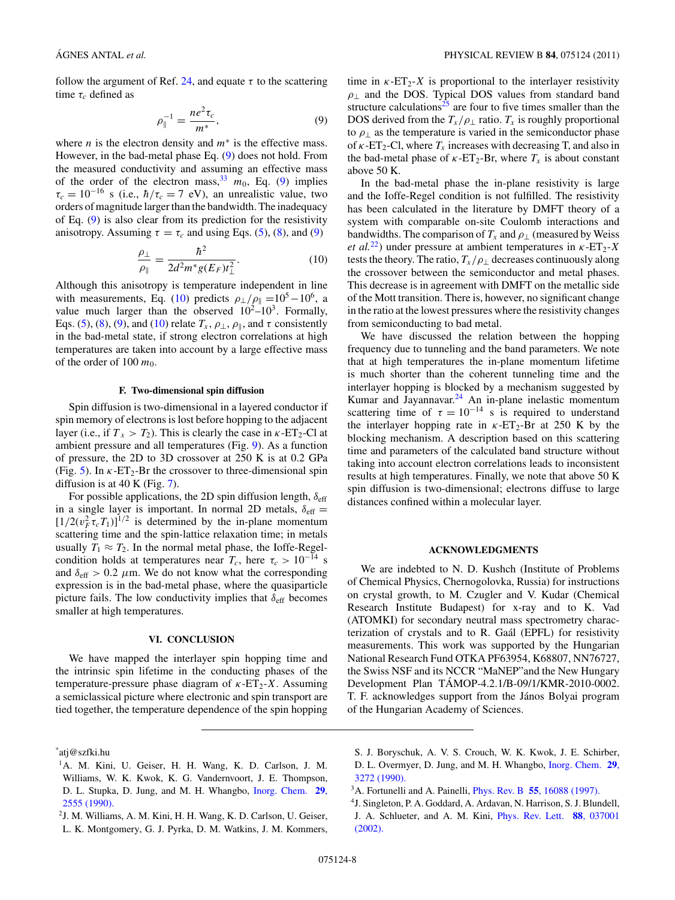<span id="page-7-0"></span>follow the argument of Ref. [24,](#page-8-0) and equate  $\tau$  to the scattering time  $\tau_c$  defined as

$$
\rho_{\parallel}^{-1} = \frac{ne^2 \tau_c}{m^*},\tag{9}
$$

where *n* is the electron density and *m*<sup>∗</sup> is the effective mass. However, in the bad-metal phase Eq. (9) does not hold. From the measured conductivity and assuming an effective mass of the order of the electron mass,  $\frac{33}{10}$  $\frac{33}{10}$  $\frac{33}{10}$ , Eq. (9) implies  $\tau_c = 10^{-16}$  s (i.e.,  $\hbar/\tau_c = 7$  eV), an unrealistic value, two orders of magnitude larger than the bandwidth. The inadequacy of Eq. (9) is also clear from its prediction for the resistivity anisotropy. Assuming  $\tau = \tau_c$  and using Eqs. [\(5\)](#page-5-0), [\(8\)](#page-6-0), and (9)

$$
\frac{\rho_{\perp}}{\rho_{\parallel}} = \frac{\hbar^2}{2d^2m^*g(E_F)t_{\perp}^2}.
$$
\n(10)

Although this anisotropy is temperature independent in line with measurements, Eq. (10) predicts  $\rho_{\perp}/\rho_{\parallel} = 10^5 - 10^6$ , a value much larger than the observed  $10^2-10^3$ . Formally, Eqs. [\(5\)](#page-5-0), [\(8\)](#page-6-0), (9), and (10) relate  $T_x$ ,  $\rho_{\perp}$ ,  $\rho_{\parallel}$ , and  $\tau$  consistently in the bad-metal state, if strong electron correlations at high temperatures are taken into account by a large effective mass of the order of 100  $m_0$ .

### **F. Two-dimensional spin diffusion**

Spin diffusion is two-dimensional in a layered conductor if spin memory of electrons is lost before hopping to the adjacent layer (i.e., if  $T_x > T_2$ ). This is clearly the case in  $\kappa$ -ET<sub>2</sub>-Cl at ambient pressure and all temperatures (Fig. [9\)](#page-4-0). As a function of pressure, the 2D to 3D crossover at 250 K is at 0.2 GPa (Fig. [5\)](#page-3-0). In  $\kappa$ -ET<sub>2</sub>-Br the crossover to three-dimensional spin diffusion is at 40 K (Fig. [7\)](#page-4-0).

For possible applications, the 2D spin diffusion length,  $\delta_{\text{eff}}$ in a single layer is important. In normal 2D metals,  $\delta_{\text{eff}} =$  $\left[\frac{1}{2}(v_F^2 \tau_c T_1)\right]^{1/2}$  is determined by the in-plane momentum scattering time and the spin-lattice relaxation time; in metals usually  $T_1 \approx T_2$ . In the normal metal phase, the Ioffe-Regelcondition holds at temperatures near  $T_c$ , here  $\tau_c > 10^{-14}$  s and  $\delta_{\text{eff}} > 0.2$   $\mu$ m. We do not know what the corresponding expression is in the bad-metal phase, where the quasiparticle picture fails. The low conductivity implies that  $\delta_{\text{eff}}$  becomes smaller at high temperatures.

### **VI. CONCLUSION**

We have mapped the interlayer spin hopping time and the intrinsic spin lifetime in the conducting phases of the temperature-pressure phase diagram of  $\kappa$ -ET<sub>2</sub>-X. Assuming a semiclassical picture where electronic and spin transport are tied together, the temperature dependence of the spin hopping time in  $\kappa$ -ET<sub>2</sub>-X is proportional to the interlayer resistivity *ρ*<sup>⊥</sup> and the DOS. Typical DOS values from standard band structure calculations<sup>[25](#page-8-0)</sup> are four to five times smaller than the DOS derived from the  $T_x/\rho_{\perp}$  ratio.  $T_x$  is roughly proportional to  $\rho_{\perp}$  as the temperature is varied in the semiconductor phase of  $\kappa$ -ET<sub>2</sub>-Cl, where  $T_x$  increases with decreasing T, and also in the bad-metal phase of  $\kappa$ -ET<sub>2</sub>-Br, where  $T_x$  is about constant above 50 K.

In the bad-metal phase the in-plane resistivity is large and the Ioffe-Regel condition is not fulfilled. The resistivity has been calculated in the literature by DMFT theory of a system with comparable on-site Coulomb interactions and bandwidths. The comparison of  $T_x$  and  $\rho_{\perp}$  (measured by Weiss *et al.*<sup>22</sup>) under pressure at ambient temperatures in  $\kappa$ -ET<sub>2</sub>-*X* tests the theory. The ratio,  $T_x/\rho_{\perp}$  decreases continuously along the crossover between the semiconductor and metal phases. This decrease is in agreement with DMFT on the metallic side of the Mott transition. There is, however, no significant change in the ratio at the lowest pressures where the resistivity changes from semiconducting to bad metal.

We have discussed the relation between the hopping frequency due to tunneling and the band parameters. We note that at high temperatures the in-plane momentum lifetime is much shorter than the coherent tunneling time and the interlayer hopping is blocked by a mechanism suggested by Kumar and Jayannavar. $24$  An in-plane inelastic momentum scattering time of  $\tau = 10^{-14}$  s is required to understand the interlayer hopping rate in  $\kappa$ -ET<sub>2</sub>-Br at 250 K by the blocking mechanism. A description based on this scattering time and parameters of the calculated band structure without taking into account electron correlations leads to inconsistent results at high temperatures. Finally, we note that above 50 K spin diffusion is two-dimensional; electrons diffuse to large distances confined within a molecular layer.

#### **ACKNOWLEDGMENTS**

We are indebted to N. D. Kushch (Institute of Problems of Chemical Physics, Chernogolovka, Russia) for instructions on crystal growth, to M. Czugler and V. Kudar (Chemical Research Institute Budapest) for x-ray and to K. Vad (ATOMKI) for secondary neutral mass spectrometry characterization of crystals and to R. Gaál (EPFL) for resistivity measurements. This work was supported by the Hungarian National Research Fund OTKA PF63954, K68807, NN76727, the Swiss NSF and its NCCR "MaNEP"and the New Hungary Development Plan TAMOP-4.2.1/B-09/1/KMR-2010-0002. ´ T. F. acknowledges support from the János Bolyai program of the Hungarian Academy of Sciences.

\* atj@szfki.hu

- <sup>1</sup>A. M. Kini, U. Geiser, H. H. Wang, K. D. Carlson, J. M. Williams, W. K. Kwok, K. G. Vandernvoort, J. E. Thompson, D. L. Stupka, D. Jung, and M. H. Whangbo, [Inorg. Chem.](http://dx.doi.org/10.1021/ic00339a004) **29**, [2555 \(1990\).](http://dx.doi.org/10.1021/ic00339a004)
- 2J. M. Williams, A. M. Kini, H. H. Wang, K. D. Carlson, U. Geiser, L. K. Montgomery, G. J. Pyrka, D. M. Watkins, J. M. Kommers,
- S. J. Boryschuk, A. V. S. Crouch, W. K. Kwok, J. E. Schirber, D. L. Overmyer, D. Jung, and M. H. Whangbo, [Inorg. Chem.](http://dx.doi.org/10.1021/ic00343a003) **29**, [3272 \(1990\).](http://dx.doi.org/10.1021/ic00343a003)

<sup>3</sup>A. Fortunelli and A. Painelli, Phys. Rev. B **55**[, 16088 \(1997\).](http://dx.doi.org/10.1103/PhysRevB.55.16088)

<sup>4</sup>J. Singleton, P. A. Goddard, A. Ardavan, N. Harrison, S. J. Blundell, J. A. Schlueter, and A. M. Kini, [Phys. Rev. Lett.](http://dx.doi.org/10.1103/PhysRevLett.88.037001) **88**, 037001 [\(2002\).](http://dx.doi.org/10.1103/PhysRevLett.88.037001)